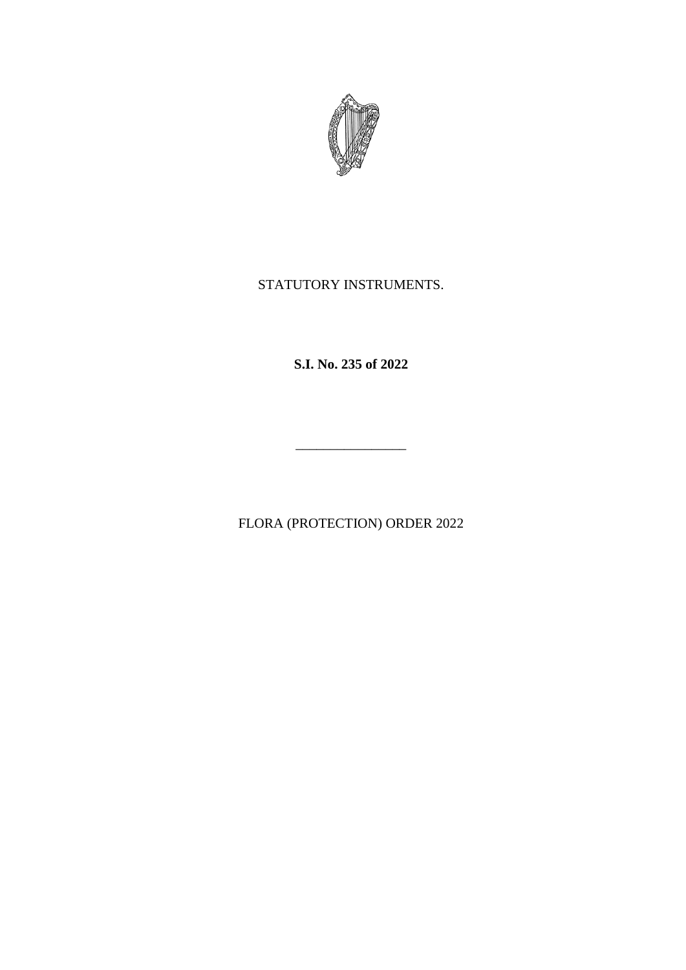

### STATUTORY INSTRUMENTS.

**S.I. No. 235 of 2022**

FLORA (PROTECTION) ORDER 2022

\_\_\_\_\_\_\_\_\_\_\_\_\_\_\_\_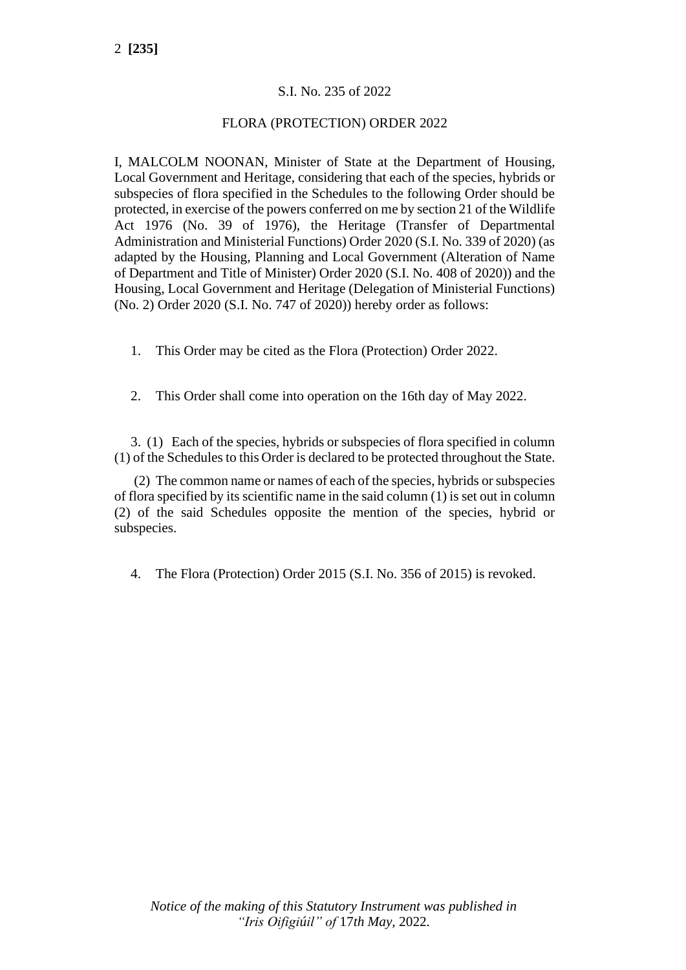#### S.I. No. 235 of 2022

#### FLORA (PROTECTION) ORDER 2022

I, MALCOLM NOONAN, Minister of State at the Department of Housing, Local Government and Heritage, considering that each of the species, hybrids or subspecies of flora specified in the Schedules to the following Order should be protected, in exercise of the powers conferred on me by section 21 of the Wildlife Act 1976 (No. 39 of 1976), the Heritage (Transfer of Departmental Administration and Ministerial Functions) Order 2020 (S.I. No. 339 of 2020) (as adapted by the Housing, Planning and Local Government (Alteration of Name of Department and Title of Minister) Order 2020 (S.I. No. 408 of 2020)) and the Housing, Local Government and Heritage (Delegation of Ministerial Functions) (No. 2) Order 2020 (S.I. No. 747 of 2020)) hereby order as follows:

- 1. This Order may be cited as the Flora (Protection) Order 2022.
- 2. This Order shall come into operation on the 16th day of May 2022.

3. (1) Each of the species, hybrids or subspecies of flora specified in column (1) of the Schedules to this Order is declared to be protected throughout the State.

(2) The common name or names of each of the species, hybrids or subspecies of flora specified by its scientific name in the said column (1) is set out in column (2) of the said Schedules opposite the mention of the species, hybrid or subspecies.

4. The Flora (Protection) Order 2015 (S.I. No. 356 of 2015) is revoked.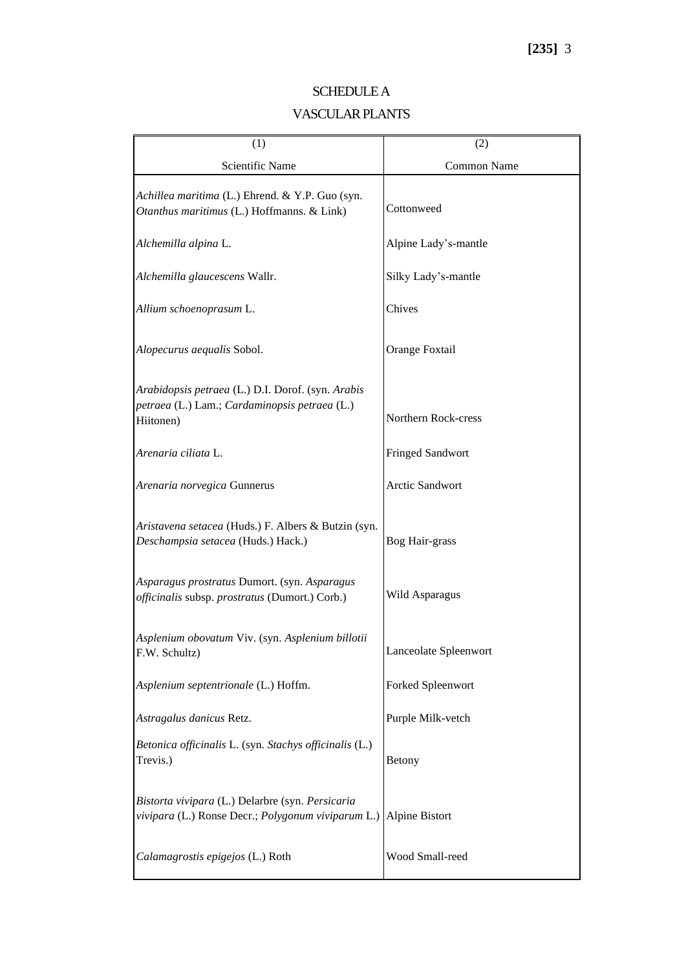| (1)                                                                                                             | (2)                     |
|-----------------------------------------------------------------------------------------------------------------|-------------------------|
| Scientific Name                                                                                                 | Common Name             |
| Achillea maritima (L.) Ehrend. & Y.P. Guo (syn.<br>Otanthus maritimus (L.) Hoffmanns. & Link)                   | Cottonweed              |
| Alchemilla alpina L.                                                                                            | Alpine Lady's-mantle    |
| Alchemilla glaucescens Wallr.                                                                                   | Silky Lady's-mantle     |
| Allium schoenoprasum L.                                                                                         | Chives                  |
| Alopecurus aequalis Sobol.                                                                                      | Orange Foxtail          |
| Arabidopsis petraea (L.) D.I. Dorof. (syn. Arabis<br>petraea (L.) Lam.; Cardaminopsis petraea (L.)<br>Hiitonen) | Northern Rock-cress     |
| Arenaria ciliata L.                                                                                             | <b>Fringed Sandwort</b> |
| Arenaria norvegica Gunnerus                                                                                     | <b>Arctic Sandwort</b>  |
| Aristavena setacea (Huds.) F. Albers & Butzin (syn.<br>Deschampsia setacea (Huds.) Hack.)                       | Bog Hair-grass          |
| Asparagus prostratus Dumort. (syn. Asparagus<br>officinalis subsp. prostratus (Dumort.) Corb.)                  | Wild Asparagus          |
| Asplenium obovatum Viv. (syn. Asplenium billotii<br>F.W. Schultz)                                               | Lanceolate Spleenwort   |
| Asplenium septentrionale (L.) Hoffm.                                                                            | Forked Spleenwort       |
| Astragalus danicus Retz.                                                                                        | Purple Milk-vetch       |
| Betonica officinalis L. (syn. Stachys officinalis (L.)<br>Trevis.)                                              | Betony                  |
| Bistorta vivipara (L.) Delarbre (syn. Persicaria<br>vivipara (L.) Ronse Decr.; Polygonum viviparum L.)          | Alpine Bistort          |
| Calamagrostis epigejos (L.) Roth                                                                                | Wood Small-reed         |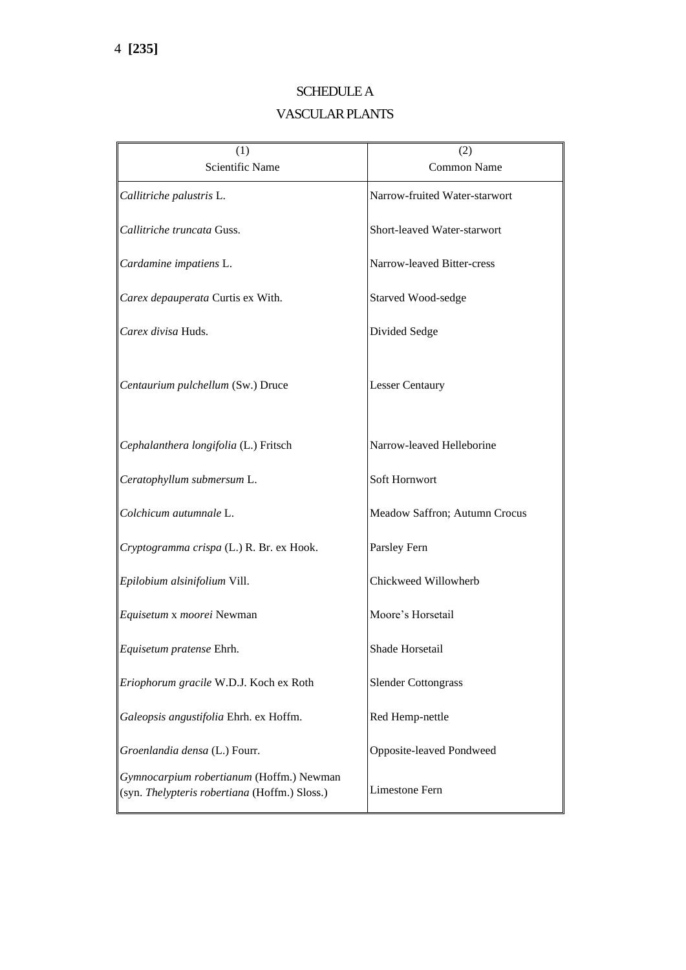## SCHEDULE A VASCULAR PLANTS

| (1)                                                                                       | (2)                           |
|-------------------------------------------------------------------------------------------|-------------------------------|
| Scientific Name                                                                           | <b>Common Name</b>            |
| Callitriche palustris L.                                                                  | Narrow-fruited Water-starwort |
| Callitriche truncata Guss.                                                                | Short-leaved Water-starwort   |
| Cardamine impatiens L.                                                                    | Narrow-leaved Bitter-cress    |
| Carex depauperata Curtis ex With.                                                         | Starved Wood-sedge            |
| Carex divisa Huds.                                                                        | Divided Sedge                 |
| Centaurium pulchellum (Sw.) Druce                                                         | <b>Lesser Centaury</b>        |
| Cephalanthera longifolia (L.) Fritsch                                                     | Narrow-leaved Helleborine     |
| Ceratophyllum submersum L.                                                                | Soft Hornwort                 |
| Colchicum autumnale L.                                                                    | Meadow Saffron; Autumn Crocus |
| Cryptogramma crispa (L.) R. Br. ex Hook.                                                  | Parsley Fern                  |
| Epilobium alsinifolium Vill.                                                              | Chickweed Willowherb          |
| Equisetum x moorei Newman                                                                 | Moore's Horsetail             |
| Equisetum pratense Ehrh.                                                                  | Shade Horsetail               |
| Eriophorum gracile W.D.J. Koch ex Roth                                                    | <b>Slender Cottongrass</b>    |
| Galeopsis angustifolia Ehrh. ex Hoffm.                                                    | Red Hemp-nettle               |
| Groenlandia densa (L.) Fourr.                                                             | Opposite-leaved Pondweed      |
| Gymnocarpium robertianum (Hoffm.) Newman<br>(syn. Thelypteris robertiana (Hoffm.) Sloss.) | <b>Limestone Fern</b>         |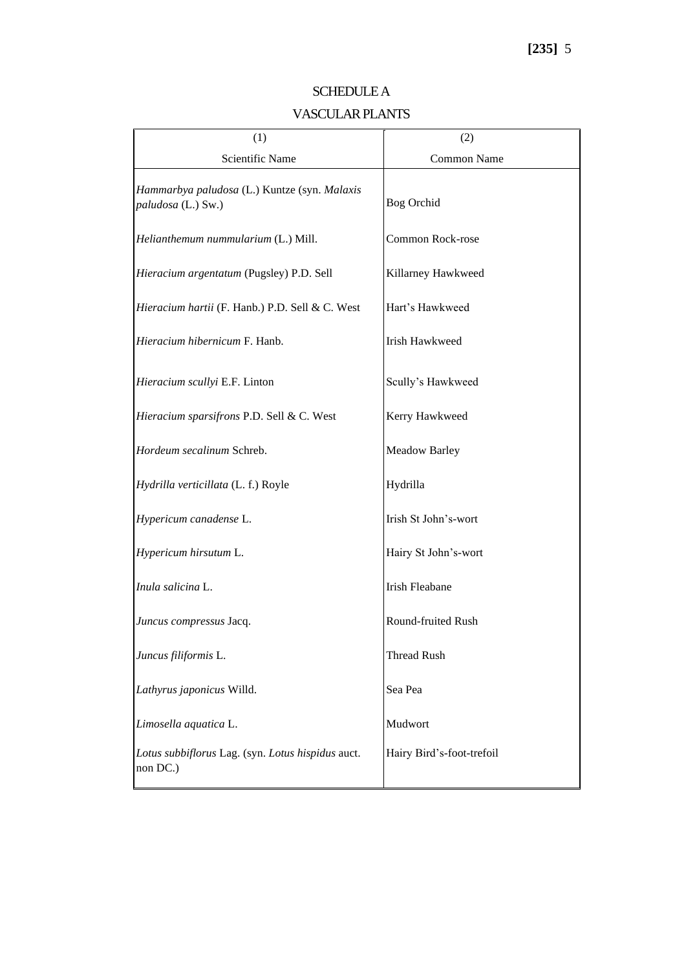| (1)                                                                | (2)                       |
|--------------------------------------------------------------------|---------------------------|
| Scientific Name                                                    | Common Name               |
| Hammarbya paludosa (L.) Kuntze (syn. Malaxis<br>paludosa (L.) Sw.) | <b>Bog Orchid</b>         |
| Helianthemum nummularium (L.) Mill.                                | Common Rock-rose          |
| Hieracium argentatum (Pugsley) P.D. Sell                           | Killarney Hawkweed        |
| Hieracium hartii (F. Hanb.) P.D. Sell & C. West                    | Hart's Hawkweed           |
| Hieracium hibernicum F. Hanb.                                      | Irish Hawkweed            |
| Hieracium scullyi E.F. Linton                                      | Scully's Hawkweed         |
| Hieracium sparsifrons P.D. Sell & C. West                          | Kerry Hawkweed            |
| Hordeum secalinum Schreb.                                          | <b>Meadow Barley</b>      |
| Hydrilla verticillata (L. f.) Royle                                | Hydrilla                  |
| Hypericum canadense L.                                             | Irish St John's-wort      |
| Hypericum hirsutum L.                                              | Hairy St John's-wort      |
| Inula salicina L.                                                  | <b>Irish Fleabane</b>     |
| Juncus compressus Jacq.                                            | Round-fruited Rush        |
| Juncus filiformis L.                                               | <b>Thread Rush</b>        |
| Lathyrus japonicus Willd.                                          | Sea Pea                   |
| Limosella aquatica L.                                              | Mudwort                   |
| Lotus subbiflorus Lag. (syn. Lotus hispidus auct.<br>non DC.)      | Hairy Bird's-foot-trefoil |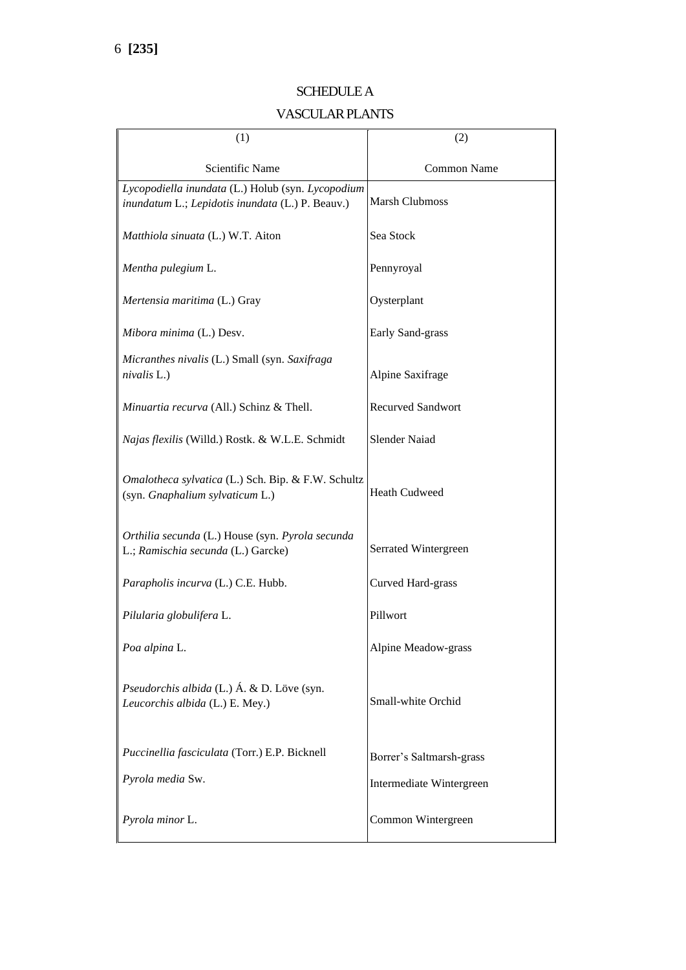| (1)                                                                                                   | (2)                      |
|-------------------------------------------------------------------------------------------------------|--------------------------|
| <b>Scientific Name</b>                                                                                | Common Name              |
| Lycopodiella inundata (L.) Holub (syn. Lycopodium<br>inundatum L.; Lepidotis inundata (L.) P. Beauv.) | <b>Marsh Clubmoss</b>    |
| Matthiola sinuata (L.) W.T. Aiton                                                                     | Sea Stock                |
| Mentha pulegium L.                                                                                    | Pennyroyal               |
| Mertensia maritima (L.) Gray                                                                          | Oysterplant              |
| Mibora minima (L.) Desv.                                                                              | Early Sand-grass         |
| Micranthes nivalis (L.) Small (syn. Saxifraga<br>nivalis L.)                                          | Alpine Saxifrage         |
| Minuartia recurva (All.) Schinz & Thell.                                                              | <b>Recurved Sandwort</b> |
| Najas flexilis (Willd.) Rostk. & W.L.E. Schmidt                                                       | <b>Slender Naiad</b>     |
| Omalotheca sylvatica (L.) Sch. Bip. & F.W. Schultz<br>(syn. Gnaphalium sylvaticum L.)                 | <b>Heath Cudweed</b>     |
| Orthilia secunda (L.) House (syn. Pyrola secunda<br>L.; Ramischia secunda (L.) Garcke)                | Serrated Wintergreen     |
| Parapholis incurva (L.) C.E. Hubb.                                                                    | Curved Hard-grass        |
| Pilularia globulifera L.                                                                              | Pillwort                 |
| Poa alpina L.                                                                                         | Alpine Meadow-grass      |
| Pseudorchis albida (L.) Á. & D. Löve (syn.<br>Leucorchis albida (L.) E. Mey.)                         | Small-white Orchid       |
| Puccinellia fasciculata (Torr.) E.P. Bicknell                                                         | Borrer's Saltmarsh-grass |
| Pyrola media Sw.                                                                                      | Intermediate Wintergreen |
| Pyrola minor L.                                                                                       | Common Wintergreen       |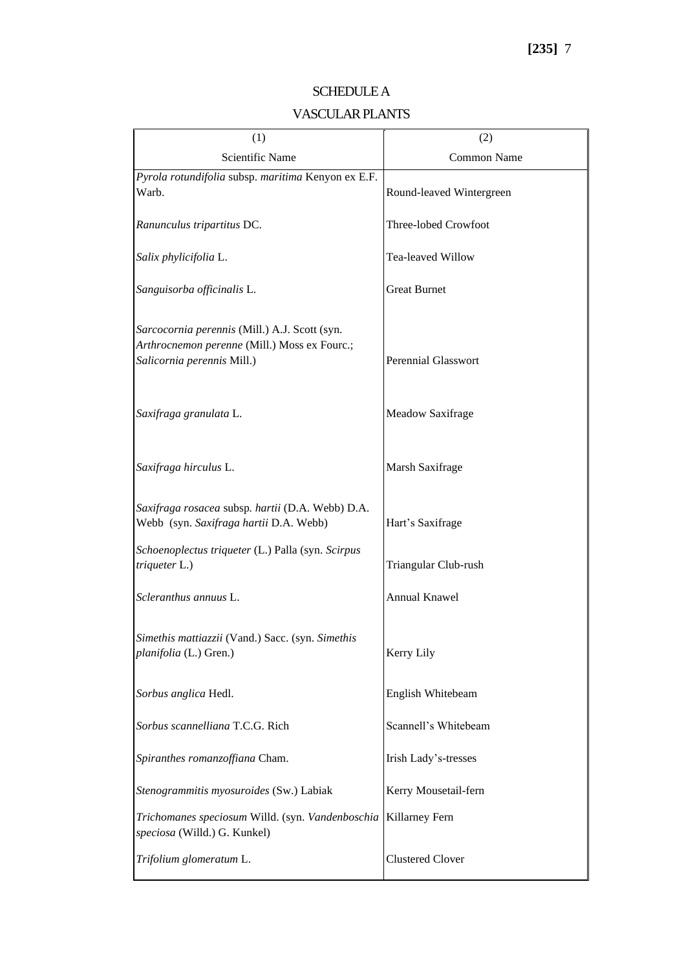| (1)                                                                                                                         | (2)                        |
|-----------------------------------------------------------------------------------------------------------------------------|----------------------------|
| <b>Scientific Name</b>                                                                                                      | Common Name                |
| Pyrola rotundifolia subsp. maritima Kenyon ex E.F.<br>Warb.                                                                 | Round-leaved Wintergreen   |
| Ranunculus tripartitus DC.                                                                                                  | Three-lobed Crowfoot       |
| Salix phylicifolia L.                                                                                                       | Tea-leaved Willow          |
| Sanguisorba officinalis L.                                                                                                  | <b>Great Burnet</b>        |
| Sarcocornia perennis (Mill.) A.J. Scott (syn.<br>Arthrocnemon perenne (Mill.) Moss ex Fourc.;<br>Salicornia perennis Mill.) | <b>Perennial Glasswort</b> |
| Saxifraga granulata L.                                                                                                      | Meadow Saxifrage           |
| Saxifraga hirculus L.                                                                                                       | Marsh Saxifrage            |
| Saxifraga rosacea subsp. hartii (D.A. Webb) D.A.<br>Webb (syn. Saxifraga hartii D.A. Webb)                                  | Hart's Saxifrage           |
| Schoenoplectus triqueter (L.) Palla (syn. Scirpus<br>triqueter L.)                                                          | Triangular Club-rush       |
| Scleranthus annuus L.                                                                                                       | Annual Knawel              |
| Simethis mattiazzii (Vand.) Sacc. (syn. Simethis<br>planifolia (L.) Gren.)                                                  | Kerry Lily                 |
| Sorbus anglica Hedl.                                                                                                        | English Whitebeam          |
| Sorbus scannelliana T.C.G. Rich                                                                                             | Scannell's Whitebeam       |
| Spiranthes romanzoffiana Cham.                                                                                              | Irish Lady's-tresses       |
| Stenogrammitis myosuroides (Sw.) Labiak                                                                                     | Kerry Mousetail-fern       |
| Trichomanes speciosum Willd. (syn. Vandenboschia   Killarney Fern<br>speciosa (Willd.) G. Kunkel)                           |                            |
| Trifolium glomeratum L.                                                                                                     | <b>Clustered Clover</b>    |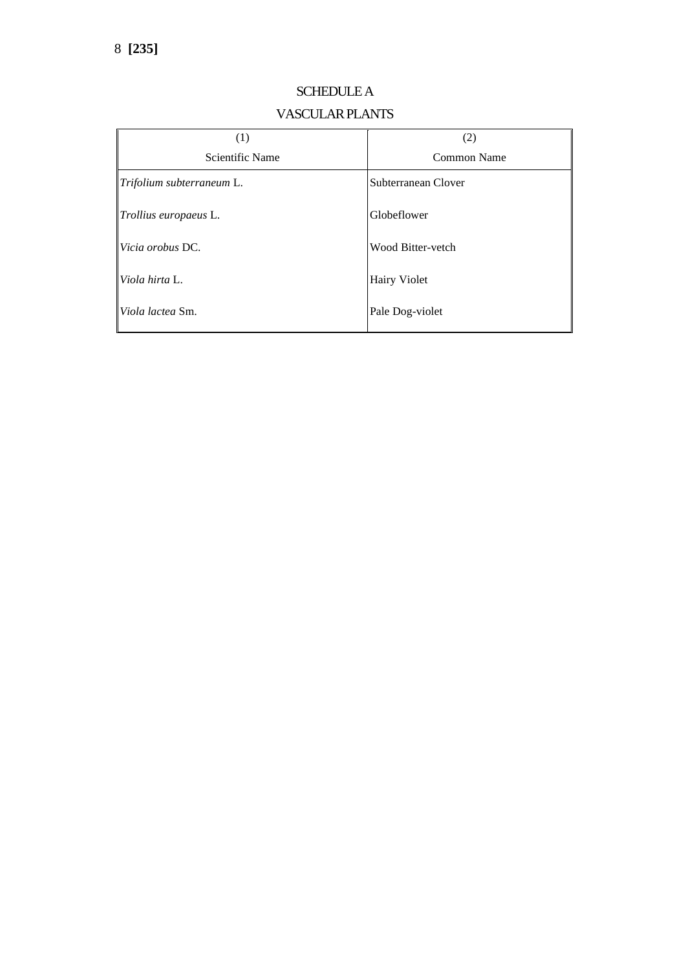| (1)                       | (2)                 |
|---------------------------|---------------------|
| Scientific Name           | Common Name         |
| Trifolium subterraneum L. | Subterranean Clover |
| Trollius europaeus L.     | Globeflower         |
| Vicia orobus DC.          | Wood Bitter-vetch   |
| Viola hirta L.            | <b>Hairy Violet</b> |
| Viola lactea Sm.          | Pale Dog-violet     |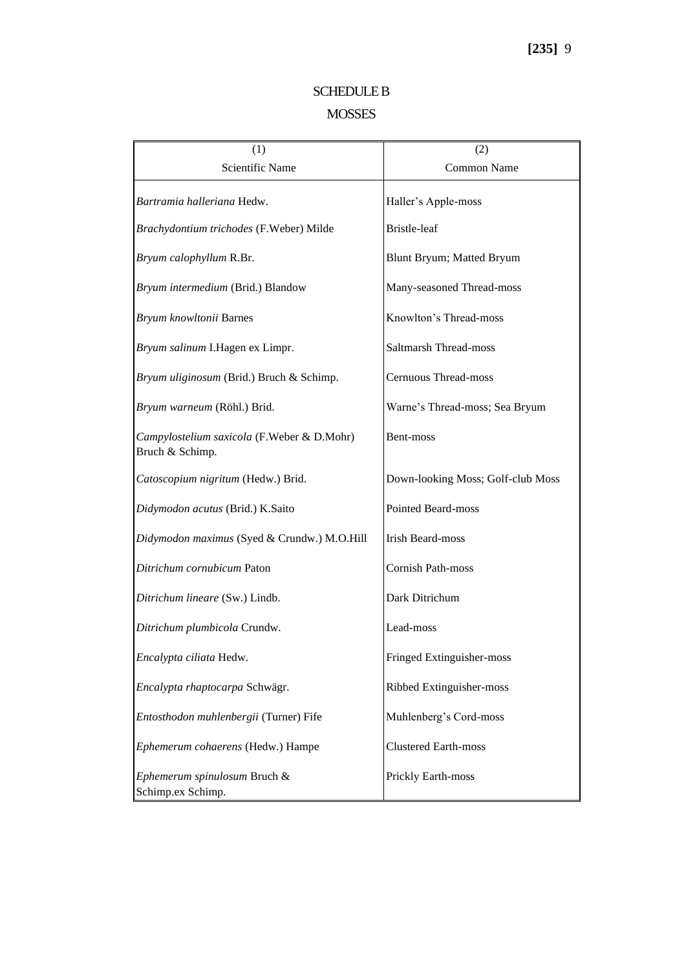#### SCHEDULE B

### MOSSES

| (1)                                                           | (2)                               |
|---------------------------------------------------------------|-----------------------------------|
| Scientific Name                                               | Common Name                       |
| Bartramia halleriana Hedw.                                    | Haller's Apple-moss               |
| Brachydontium trichodes (F.Weber) Milde                       | Bristle-leaf                      |
| Bryum calophyllum R.Br.                                       | Blunt Bryum; Matted Bryum         |
| Bryum intermedium (Brid.) Blandow                             | Many-seasoned Thread-moss         |
| Bryum knowltonii Barnes                                       | Knowlton's Thread-moss            |
| Bryum salinum I.Hagen ex Limpr.                               | Saltmarsh Thread-moss             |
| Bryum uliginosum (Brid.) Bruch & Schimp.                      | Cernuous Thread-moss              |
| Bryum warneum (Röhl.) Brid.                                   | Warne's Thread-moss; Sea Bryum    |
| Campylostelium saxicola (F.Weber & D.Mohr)<br>Bruch & Schimp. | Bent-moss                         |
| Catoscopium nigritum (Hedw.) Brid.                            | Down-looking Moss; Golf-club Moss |
| Didymodon acutus (Brid.) K.Saito                              | <b>Pointed Beard-moss</b>         |
| Didymodon maximus (Syed & Crundw.) M.O.Hill                   | <b>Irish Beard-moss</b>           |
| Ditrichum cornubicum Paton                                    | Cornish Path-moss                 |
| Ditrichum lineare (Sw.) Lindb.                                | Dark Ditrichum                    |
| Ditrichum plumbicola Crundw.                                  | Lead-moss                         |
| Encalypta ciliata Hedw.                                       | Fringed Extinguisher-moss         |
| Encalypta rhaptocarpa Schwägr.                                | Ribbed Extinguisher-moss          |
| Entosthodon muhlenbergii (Turner) Fife                        | Muhlenberg's Cord-moss            |
| Ephemerum cohaerens (Hedw.) Hampe                             | <b>Clustered Earth-moss</b>       |
| Ephemerum spinulosum Bruch &<br>Schimp.ex Schimp.             | Prickly Earth-moss                |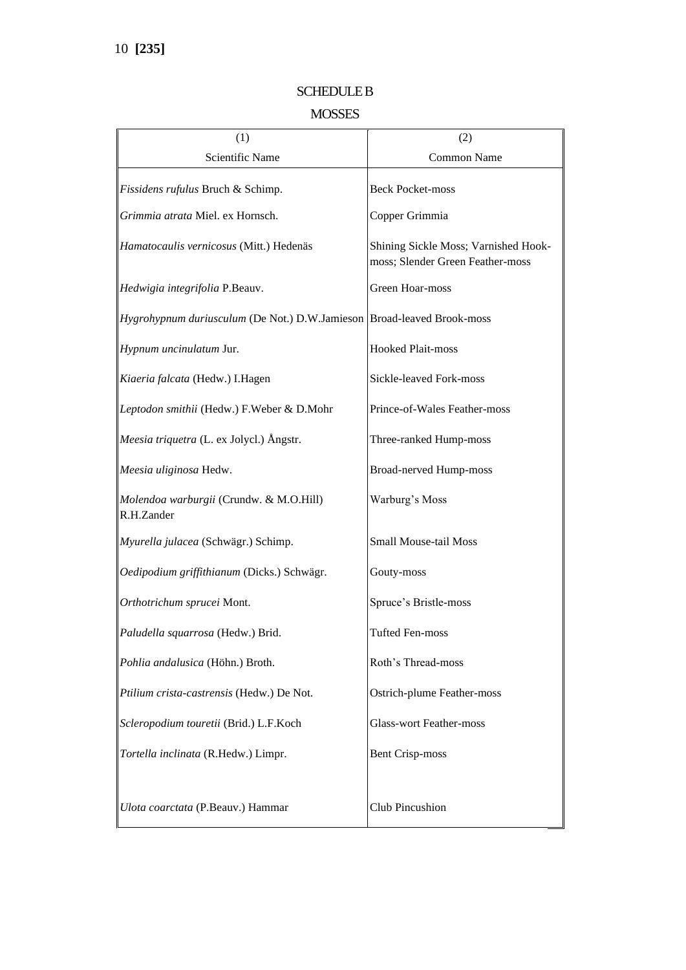### SCHEDULE B

### MOSSES

| (1)                                                                           | (2)                                                                      |
|-------------------------------------------------------------------------------|--------------------------------------------------------------------------|
| Scientific Name                                                               | Common Name                                                              |
| Fissidens rufulus Bruch & Schimp.                                             | <b>Beck Pocket-moss</b>                                                  |
| Grimmia atrata Miel. ex Hornsch.                                              | Copper Grimmia                                                           |
| Hamatocaulis vernicosus (Mitt.) Hedenäs                                       | Shining Sickle Moss; Varnished Hook-<br>moss; Slender Green Feather-moss |
| Hedwigia integrifolia P.Beauv.                                                | Green Hoar-moss                                                          |
| <i>Hygrohypnum duriusculum</i> (De Not.) D.W.Jamieson Broad-leaved Brook-moss |                                                                          |
| Hypnum uncinulatum Jur.                                                       | <b>Hooked Plait-moss</b>                                                 |
| Kiaeria falcata (Hedw.) I.Hagen                                               | Sickle-leaved Fork-moss                                                  |
| Leptodon smithii (Hedw.) F.Weber & D.Mohr                                     | Prince-of-Wales Feather-moss                                             |
| <i>Meesia triquetra</i> (L. ex Jolycl.) Ångstr.                               | Three-ranked Hump-moss                                                   |
| Meesia uliginosa Hedw.                                                        | <b>Broad-nerved Hump-moss</b>                                            |
| Molendoa warburgii (Crundw. & M.O.Hill)<br>R.H.Zander                         | Warburg's Moss                                                           |
| Myurella julacea (Schwägr.) Schimp.                                           | <b>Small Mouse-tail Moss</b>                                             |
| Oedipodium griffithianum (Dicks.) Schwägr.                                    | Gouty-moss                                                               |
| Orthotrichum sprucei Mont.                                                    | Spruce's Bristle-moss                                                    |
| Paludella squarrosa (Hedw.) Brid.                                             | <b>Tufted Fen-moss</b>                                                   |
| Pohlia andalusica (Höhn.) Broth.                                              | Roth's Thread-moss                                                       |
| Ptilium crista-castrensis (Hedw.) De Not.                                     | Ostrich-plume Feather-moss                                               |
| Scleropodium touretii (Brid.) L.F.Koch                                        | <b>Glass-wort Feather-moss</b>                                           |
| Tortella inclinata (R.Hedw.) Limpr.                                           | <b>Bent Crisp-moss</b>                                                   |
| Ulota coarctata (P.Beauv.) Hammar                                             | Club Pincushion                                                          |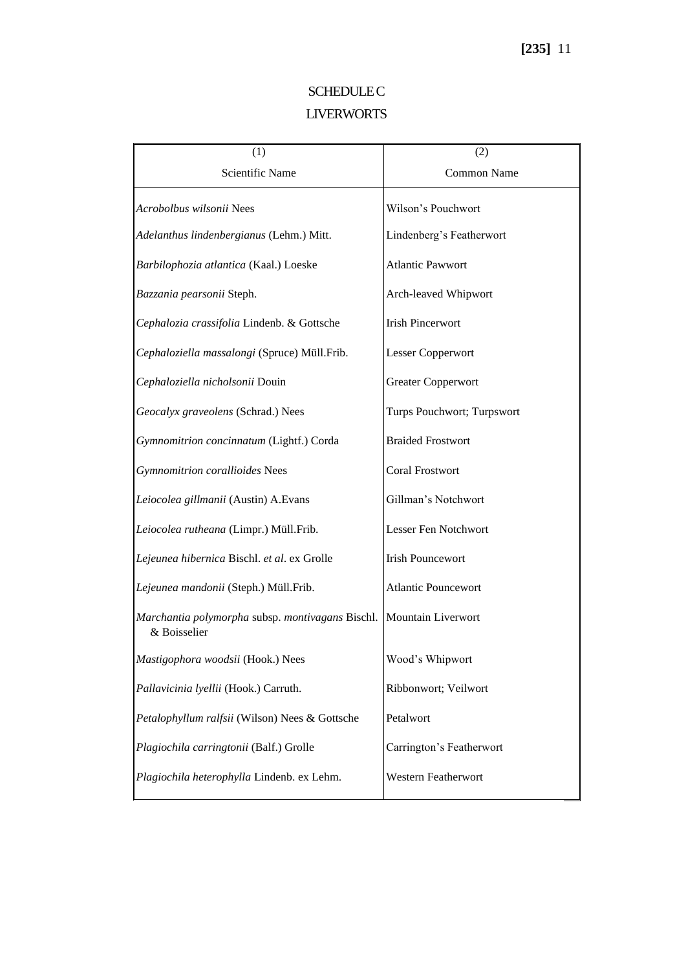## **SCHEDULE C** LIVERWORTS

| (1)                                                              | (2)                        |
|------------------------------------------------------------------|----------------------------|
| <b>Scientific Name</b>                                           | Common Name                |
| Acrobolbus wilsonii Nees                                         | Wilson's Pouchwort         |
| Adelanthus lindenbergianus (Lehm.) Mitt.                         | Lindenberg's Featherwort   |
| Barbilophozia atlantica (Kaal.) Loeske                           | <b>Atlantic Pawwort</b>    |
| Bazzania pearsonii Steph.                                        | Arch-leaved Whipwort       |
| Cephalozia crassifolia Lindenb. & Gottsche                       | <b>Irish Pincerwort</b>    |
| Cephaloziella massalongi (Spruce) Müll.Frib.                     | Lesser Copperwort          |
| Cephaloziella nicholsonii Douin                                  | <b>Greater Copperwort</b>  |
| Geocalyx graveolens (Schrad.) Nees                               | Turps Pouchwort; Turpswort |
| Gymnomitrion concinnatum (Lightf.) Corda                         | <b>Braided Frostwort</b>   |
| Gymnomitrion corallioides Nees                                   | <b>Coral Frostwort</b>     |
| Leiocolea gillmanii (Austin) A.Evans                             | Gillman's Notchwort        |
| Leiocolea rutheana (Limpr.) Müll.Frib.                           | Lesser Fen Notchwort       |
| Lejeunea hibernica Bischl. et al. ex Grolle                      | <b>Irish Pouncewort</b>    |
| Lejeunea mandonii (Steph.) Müll.Frib.                            | <b>Atlantic Pouncewort</b> |
| Marchantia polymorpha subsp. montivagans Bischl.<br>& Boisselier | Mountain Liverwort         |
| Mastigophora woodsii (Hook.) Nees                                | Wood's Whipwort            |
| Pallavicinia lyellii (Hook.) Carruth.                            | Ribbonwort; Veilwort       |
| Petalophyllum ralfsii (Wilson) Nees & Gottsche                   | Petalwort                  |
| Plagiochila carringtonii (Balf.) Grolle                          | Carrington's Featherwort   |
| Plagiochila heterophylla Lindenb. ex Lehm.                       | Western Featherwort        |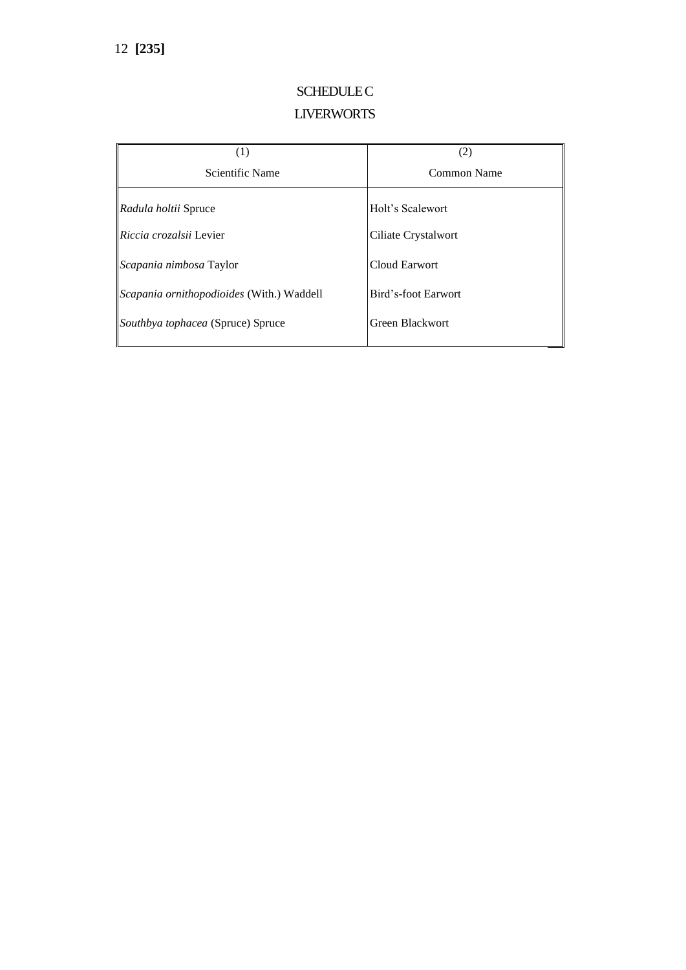# **SCHEDULE C** LIVERWORTS

| (1)                                       | (2)                 |
|-------------------------------------------|---------------------|
| Scientific Name                           | Common Name         |
| Radula holtii Spruce                      | Holt's Scalewort    |
| <i>Riccia crozalsii</i> Levier            | Ciliate Crystalwort |
| Scapania nimbosa Taylor                   | Cloud Earwort       |
| Scapania ornithopodioides (With.) Waddell | Bird's-foot Earwort |
| Southbya tophacea (Spruce) Spruce         | Green Blackwort     |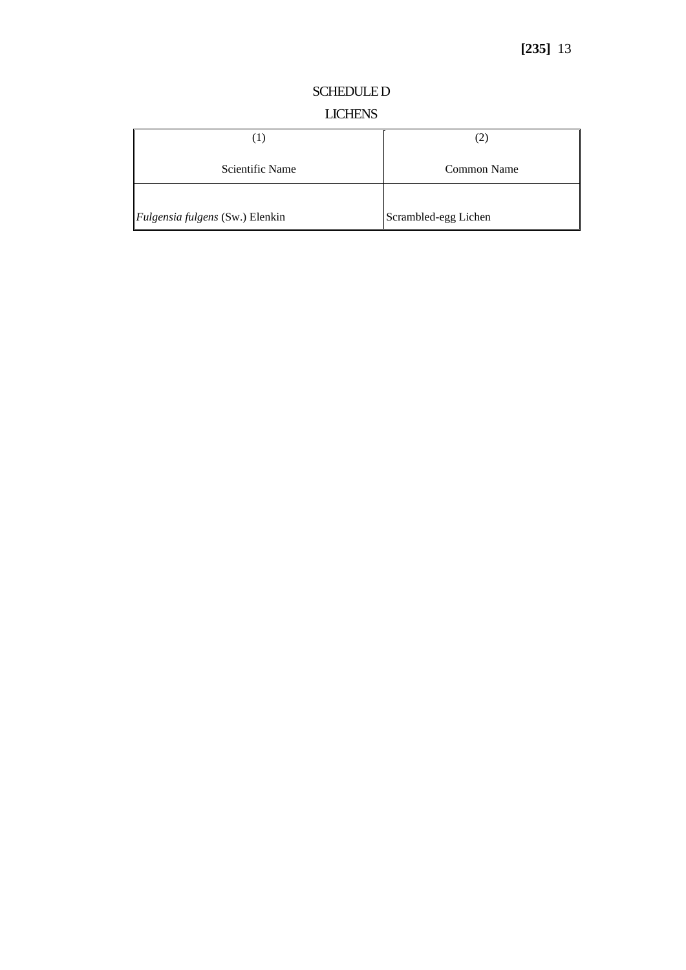#### SCHEDULE D

### LICHENS

|                                        | 2                    |
|----------------------------------------|----------------------|
| Scientific Name                        | Common Name          |
|                                        |                      |
| <i>Fulgensia fulgens</i> (Sw.) Elenkin | Scrambled-egg Lichen |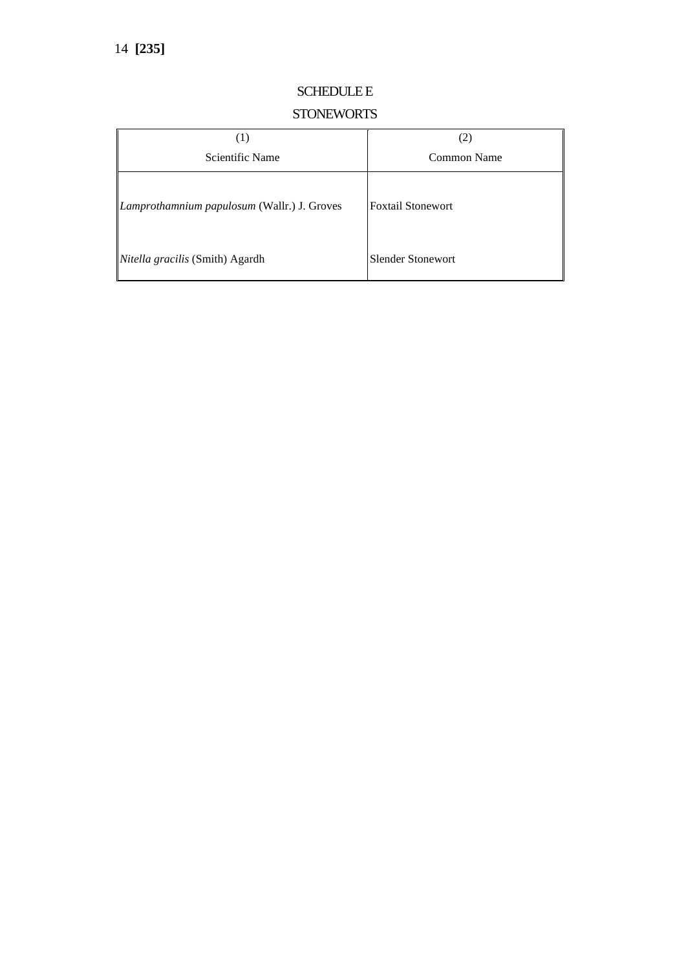### SCHEDULE E

### **STONEWORTS**

| (1)                                         | (2)                      |
|---------------------------------------------|--------------------------|
| Scientific Name                             | Common Name              |
| Lamprothamnium papulosum (Wallr.) J. Groves | <b>Foxtail Stonewort</b> |
| Nitella gracilis (Smith) Agardh             | Slender Stonewort        |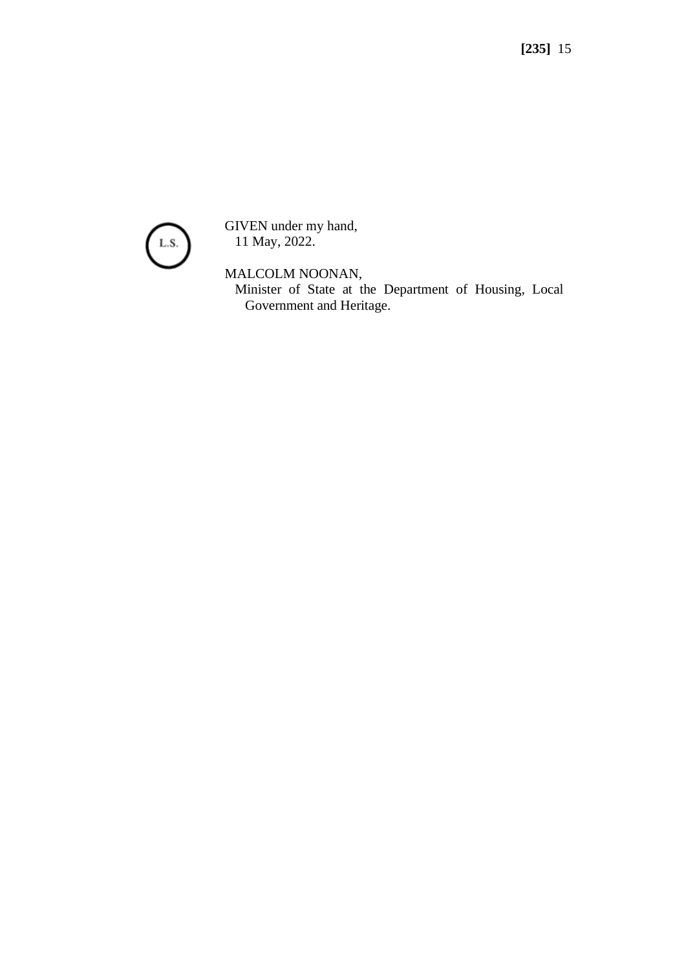

GIVEN under my hand, 11 May, 2022.

MALCOLM NOONAN,

Minister of State at the Department of Housing, Local Government and Heritage.